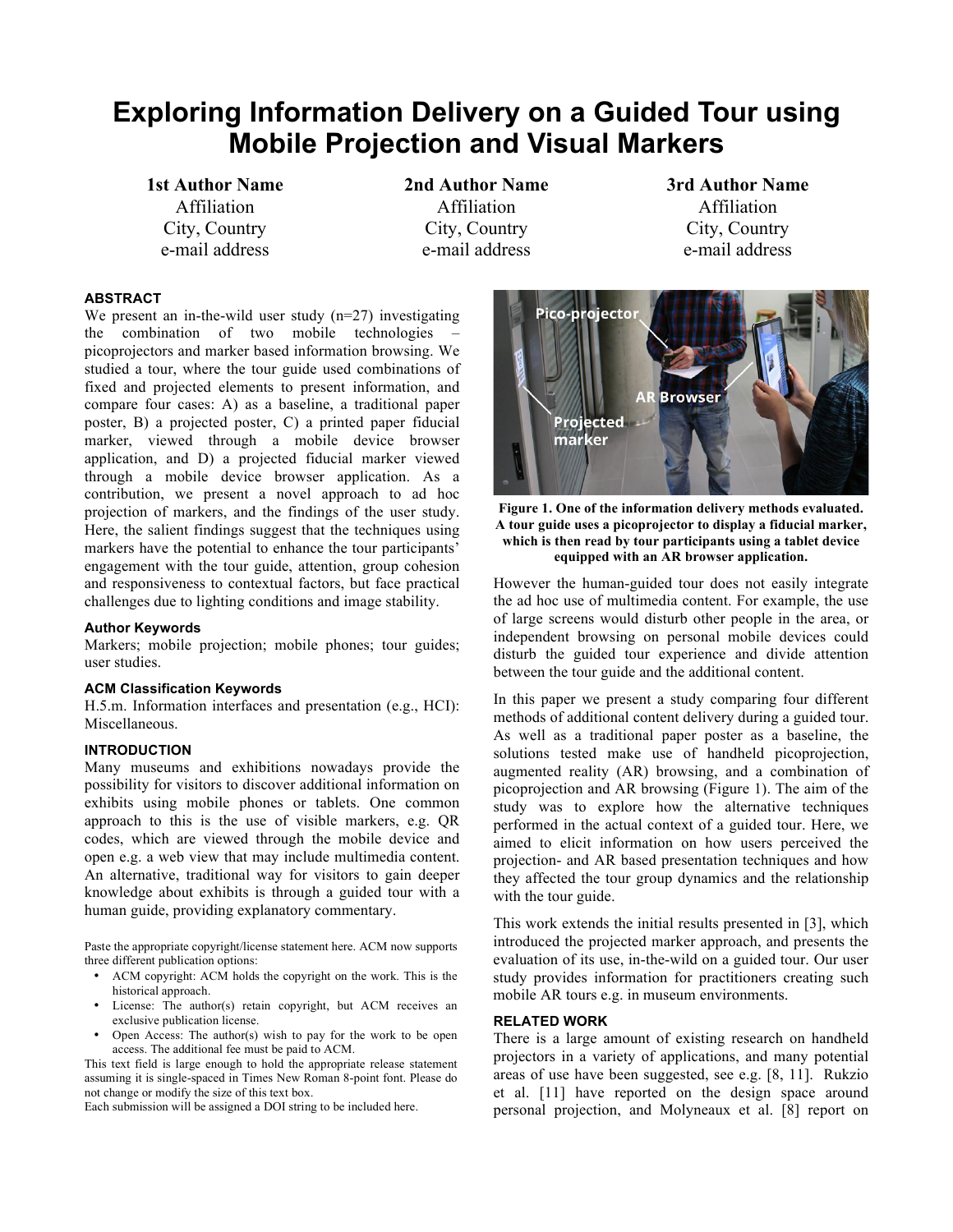# **Exploring Information Delivery on a Guided Tour using Mobile Projection and Visual Markers**

**1st Author Name**  Affiliation City, Country e-mail address

**2nd Author Name**  Affiliation City, Country e-mail address

**Pico-projector** 

Projected marker

**3rd Author Name**  Affiliation City, Country e-mail address

# **ABSTRACT**

We present an in-the-wild user study  $(n=27)$  investigating the combination of two mobile technologies – picoprojectors and marker based information browsing. We studied a tour, where the tour guide used combinations of fixed and projected elements to present information, and compare four cases: A) as a baseline, a traditional paper poster, B) a projected poster, C) a printed paper fiducial marker, viewed through a mobile device browser application, and D) a projected fiducial marker viewed through a mobile device browser application. As a contribution, we present a novel approach to ad hoc projection of markers, and the findings of the user study. Here, the salient findings suggest that the techniques using markers have the potential to enhance the tour participants' engagement with the tour guide, attention, group cohesion and responsiveness to contextual factors, but face practical challenges due to lighting conditions and image stability.

## **Author Keywords**

Markers; mobile projection; mobile phones; tour guides; user studies.

#### **ACM Classification Keywords**

H.5.m. Information interfaces and presentation (e.g., HCI): Miscellaneous.

### **INTRODUCTION**

Many museums and exhibitions nowadays provide the possibility for visitors to discover additional information on exhibits using mobile phones or tablets. One common approach to this is the use of visible markers, e.g. QR codes, which are viewed through the mobile device and open e.g. a web view that may include multimedia content. An alternative, traditional way for visitors to gain deeper knowledge about exhibits is through a guided tour with a human guide, providing explanatory commentary.

Paste the appropriate copyright/license statement here. ACM now supports three different publication options:

- ACM copyright: ACM holds the copyright on the work. This is the historical approach.
- License: The author(s) retain copyright, but ACM receives an exclusive publication license.
- Open Access: The author(s) wish to pay for the work to be open access. The additional fee must be paid to ACM.

This text field is large enough to hold the appropriate release statement assuming it is single-spaced in Times New Roman 8-point font. Please do not change or modify the size of this text box.

Each submission will be assigned a DOI string to be included here.

**Figure 1. One of the information delivery methods evaluated. A tour guide uses a picoprojector to display a fiducial marker,** 

**Browser** 

**which is then read by tour participants using a tablet device equipped with an AR browser application.**

However the human-guided tour does not easily integrate the ad hoc use of multimedia content. For example, the use of large screens would disturb other people in the area, or independent browsing on personal mobile devices could disturb the guided tour experience and divide attention between the tour guide and the additional content.

In this paper we present a study comparing four different methods of additional content delivery during a guided tour. As well as a traditional paper poster as a baseline, the solutions tested make use of handheld picoprojection, augmented reality (AR) browsing, and a combination of picoprojection and AR browsing (Figure 1). The aim of the study was to explore how the alternative techniques performed in the actual context of a guided tour. Here, we aimed to elicit information on how users perceived the projection- and AR based presentation techniques and how they affected the tour group dynamics and the relationship with the tour guide.

This work extends the initial results presented in [3], which introduced the projected marker approach, and presents the evaluation of its use, in-the-wild on a guided tour. Our user study provides information for practitioners creating such mobile AR tours e.g. in museum environments.

#### **RELATED WORK**

There is a large amount of existing research on handheld projectors in a variety of applications, and many potential areas of use have been suggested, see e.g. [8, 11]. Rukzio et al. [11] have reported on the design space around personal projection, and Molyneaux et al. [8] report on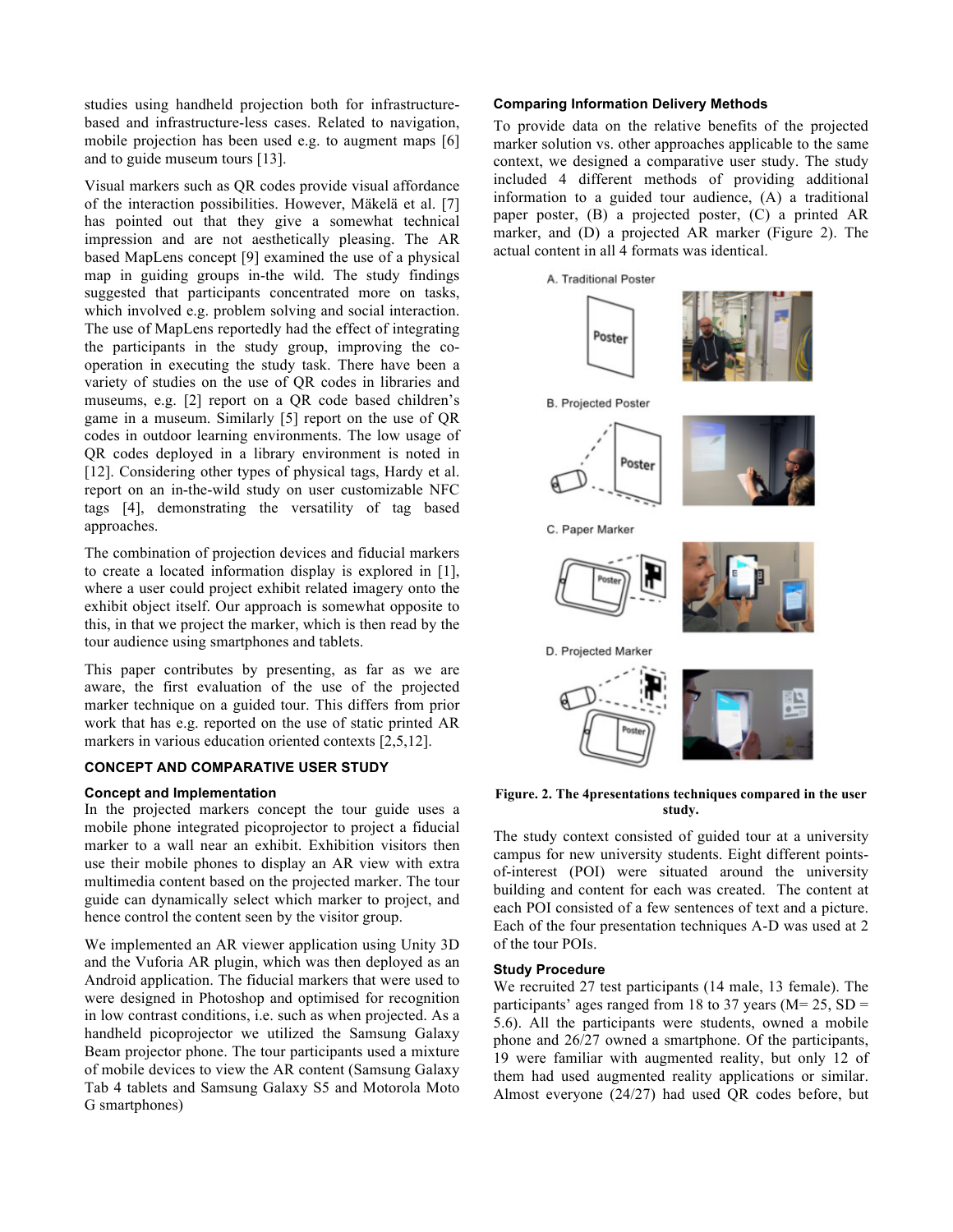studies using handheld projection both for infrastructurebased and infrastructure-less cases. Related to navigation, mobile projection has been used e.g. to augment maps [6] and to guide museum tours [13].

Visual markers such as QR codes provide visual affordance of the interaction possibilities. However, Mäkelä et al. [7] has pointed out that they give a somewhat technical impression and are not aesthetically pleasing. The AR based MapLens concept [9] examined the use of a physical map in guiding groups in-the wild. The study findings suggested that participants concentrated more on tasks, which involved e.g. problem solving and social interaction. The use of MapLens reportedly had the effect of integrating the participants in the study group, improving the cooperation in executing the study task. There have been a variety of studies on the use of QR codes in libraries and museums, e.g. [2] report on a QR code based children's game in a museum. Similarly [5] report on the use of QR codes in outdoor learning environments. The low usage of QR codes deployed in a library environment is noted in [12]. Considering other types of physical tags, Hardy et al. report on an in-the-wild study on user customizable NFC tags [4], demonstrating the versatility of tag based approaches.

The combination of projection devices and fiducial markers to create a located information display is explored in [1], where a user could project exhibit related imagery onto the exhibit object itself. Our approach is somewhat opposite to this, in that we project the marker, which is then read by the tour audience using smartphones and tablets.

This paper contributes by presenting, as far as we are aware, the first evaluation of the use of the projected marker technique on a guided tour. This differs from prior work that has e.g. reported on the use of static printed AR markers in various education oriented contexts [2,5,12].

#### **CONCEPT AND COMPARATIVE USER STUDY**

## **Concept and Implementation**

In the projected markers concept the tour guide uses a mobile phone integrated picoprojector to project a fiducial marker to a wall near an exhibit. Exhibition visitors then use their mobile phones to display an AR view with extra multimedia content based on the projected marker. The tour guide can dynamically select which marker to project, and hence control the content seen by the visitor group.

We implemented an AR viewer application using Unity 3D and the Vuforia AR plugin, which was then deployed as an Android application. The fiducial markers that were used to were designed in Photoshop and optimised for recognition in low contrast conditions, i.e. such as when projected. As a handheld picoprojector we utilized the Samsung Galaxy Beam projector phone. The tour participants used a mixture of mobile devices to view the AR content (Samsung Galaxy Tab 4 tablets and Samsung Galaxy S5 and Motorola Moto G smartphones)

#### **Comparing Information Delivery Methods**

To provide data on the relative benefits of the projected marker solution vs. other approaches applicable to the same context, we designed a comparative user study. The study included 4 different methods of providing additional information to a guided tour audience, (A) a traditional paper poster, (B) a projected poster, (C) a printed AR marker, and (D) a projected AR marker (Figure 2). The actual content in all 4 formats was identical.



**Figure. 2. The 4presentations techniques compared in the user study.**

The study context consisted of guided tour at a university campus for new university students. Eight different pointsof-interest (POI) were situated around the university building and content for each was created. The content at each POI consisted of a few sentences of text and a picture. Each of the four presentation techniques A-D was used at 2 of the tour POIs.

#### **Study Procedure**

We recruited 27 test participants (14 male, 13 female). The participants' ages ranged from 18 to 37 years ( $M = 25$ , SD = 5.6). All the participants were students, owned a mobile phone and 26/27 owned a smartphone. Of the participants, 19 were familiar with augmented reality, but only 12 of them had used augmented reality applications or similar. Almost everyone (24/27) had used QR codes before, but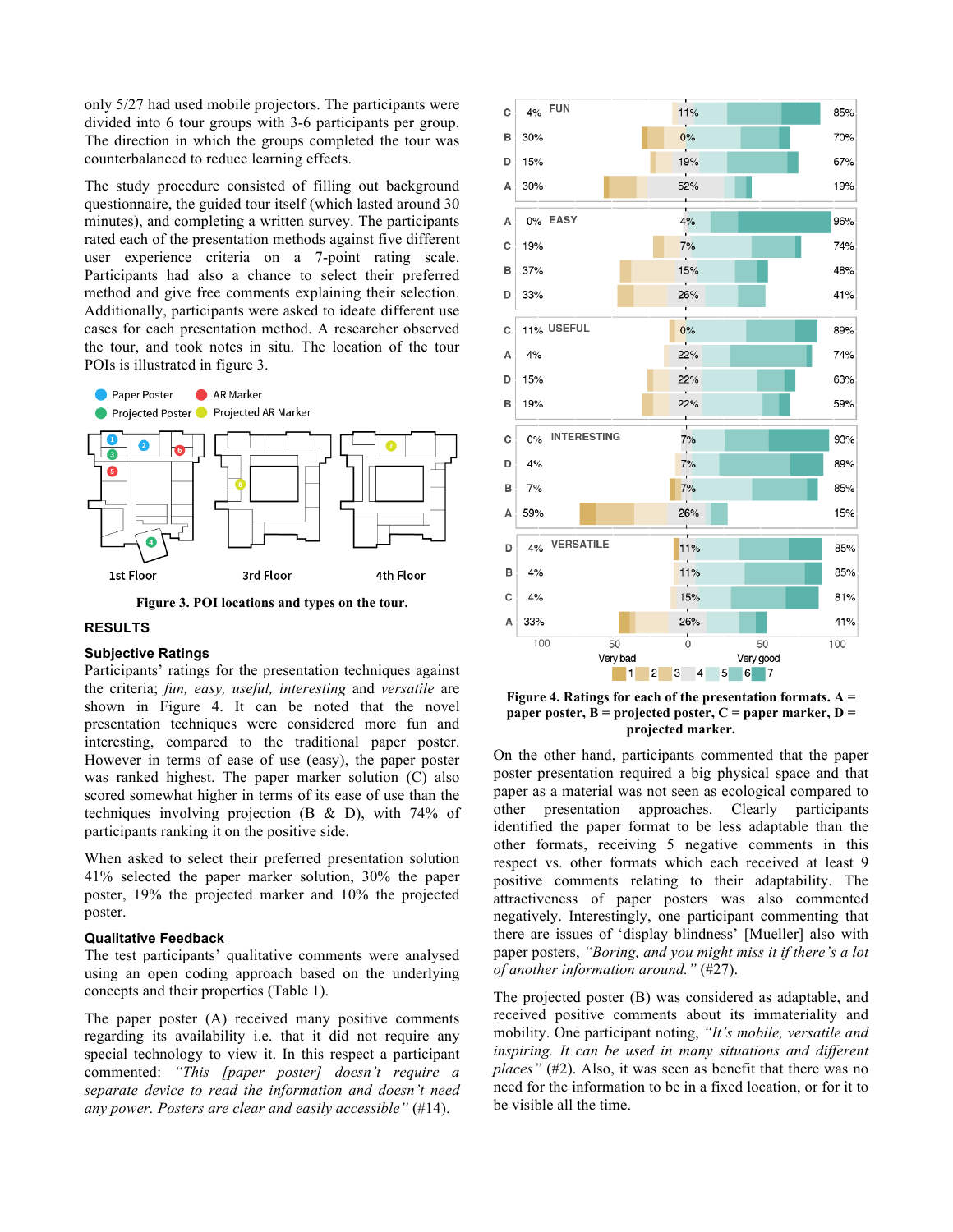only 5/27 had used mobile projectors. The participants were divided into 6 tour groups with 3-6 participants per group. The direction in which the groups completed the tour was counterbalanced to reduce learning effects.

The study procedure consisted of filling out background questionnaire, the guided tour itself (which lasted around 30 minutes), and completing a written survey. The participants rated each of the presentation methods against five different user experience criteria on a 7-point rating scale. Participants had also a chance to select their preferred method and give free comments explaining their selection. Additionally, participants were asked to ideate different use cases for each presentation method. A researcher observed the tour, and took notes in situ. The location of the tour POIs is illustrated in figure 3.



**Figure 3. POI locations and types on the tour.**

# **RESULTS**

## **Subjective Ratings**

Participants' ratings for the presentation techniques against the criteria; *fun, easy, useful, interesting* and *versatile* are shown in Figure 4. It can be noted that the novel presentation techniques were considered more fun and interesting, compared to the traditional paper poster. However in terms of ease of use (easy), the paper poster was ranked highest. The paper marker solution (C) also scored somewhat higher in terms of its ease of use than the techniques involving projection (B & D), with 74% of participants ranking it on the positive side.

When asked to select their preferred presentation solution 41% selected the paper marker solution, 30% the paper poster, 19% the projected marker and 10% the projected poster.

## **Qualitative Feedback**

The test participants' qualitative comments were analysed using an open coding approach based on the underlying concepts and their properties (Table 1).

The paper poster (A) received many positive comments regarding its availability i.e. that it did not require any special technology to view it. In this respect a participant commented: *"This [paper poster] doesn't require a separate device to read the information and doesn't need any power. Posters are clear and easily accessible"* (#14).



**Figure 4. Ratings for each of the presentation formats. A = paper poster, B = projected poster, C = paper marker, D = projected marker.**

On the other hand, participants commented that the paper poster presentation required a big physical space and that paper as a material was not seen as ecological compared to other presentation approaches. Clearly participants identified the paper format to be less adaptable than the other formats, receiving 5 negative comments in this respect vs. other formats which each received at least 9 positive comments relating to their adaptability. The attractiveness of paper posters was also commented negatively. Interestingly, one participant commenting that there are issues of 'display blindness' [Mueller] also with paper posters, *"Boring, and you might miss it if there's a lot of another information around."* (#27).

The projected poster (B) was considered as adaptable, and received positive comments about its immateriality and mobility. One participant noting, *"It's mobile, versatile and inspiring. It can be used in many situations and different places"* (#2). Also, it was seen as benefit that there was no need for the information to be in a fixed location, or for it to be visible all the time.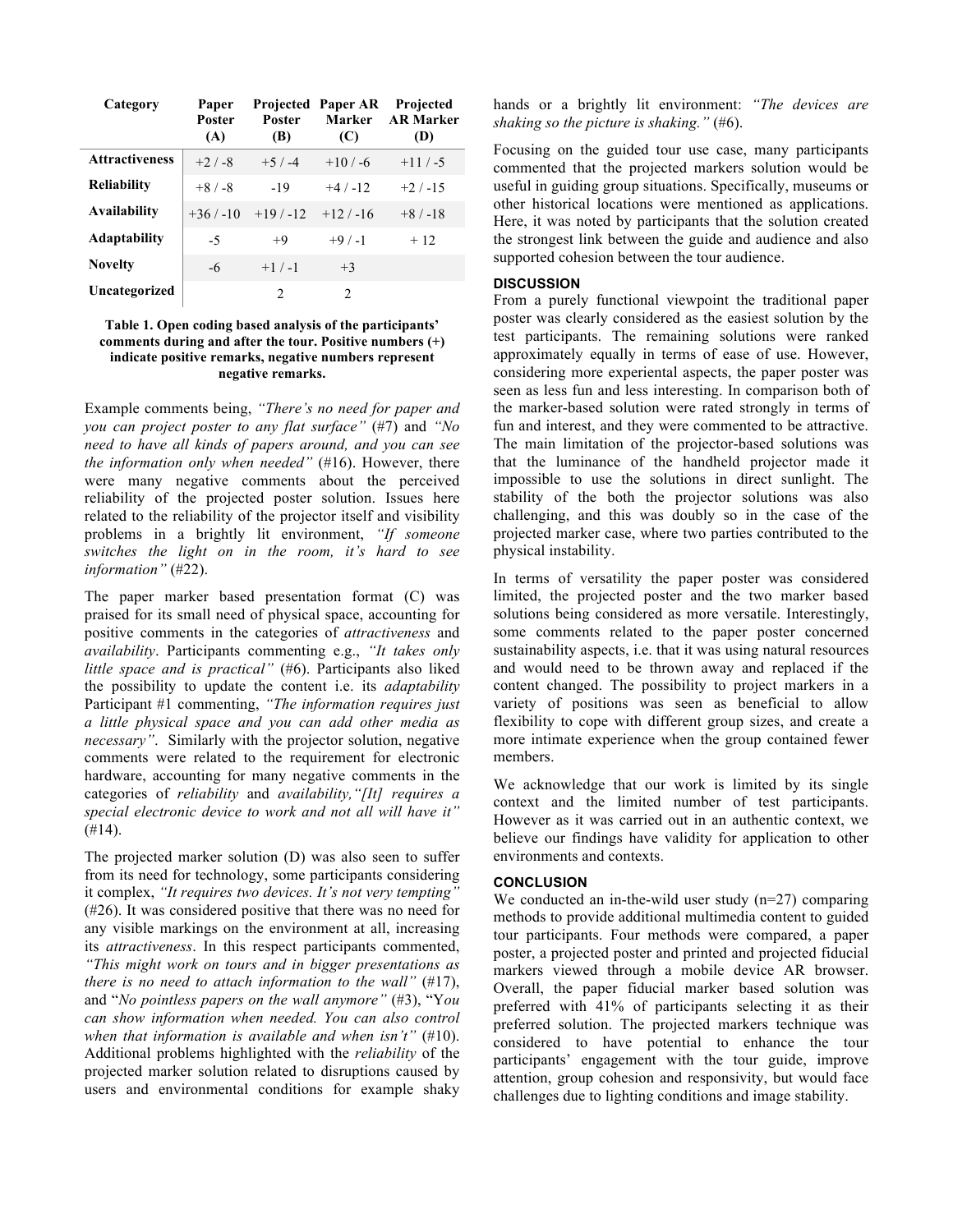| Category              | Paper<br><b>Poster</b><br>(A) | <b>Poster</b><br>(B) | <b>Projected Paper AR</b><br>Marker<br>(C) | Projected<br><b>AR Marker</b><br>(D) |
|-----------------------|-------------------------------|----------------------|--------------------------------------------|--------------------------------------|
| <b>Attractiveness</b> | $+2/ -8$                      | $+5/ -4$             | $+10/ -6$                                  | $+11/ -5$                            |
| <b>Reliability</b>    | $+8/ -8$                      | $-19$                | $+4/ -12$                                  | $+2/ -15$                            |
| Availability          | $+36/ -10$                    | $+19/ -12$           | $+12/ -16$                                 | $+8/ -18$                            |
| <b>Adaptability</b>   | $-5$                          | $+9$                 | $+9/ -1$                                   | $+12$                                |
| <b>Novelty</b>        | $-6$                          | $+1/ -1$             | $+3$                                       |                                      |
| Uncategorized         |                               | $\mathcal{D}$        | $\mathfrak{D}_{\mathfrak{p}}$              |                                      |

## **Table 1. Open coding based analysis of the participants' comments during and after the tour. Positive numbers (+) indicate positive remarks, negative numbers represent negative remarks.**

Example comments being, *"There's no need for paper and you can project poster to any flat surface"* (#7) and *"No need to have all kinds of papers around, and you can see the information only when needed"* (#16). However, there were many negative comments about the perceived reliability of the projected poster solution. Issues here related to the reliability of the projector itself and visibility problems in a brightly lit environment, *"If someone switches the light on in the room, it's hard to see information"* (#22).

The paper marker based presentation format (C) was praised for its small need of physical space, accounting for positive comments in the categories of *attractiveness* and *availability*. Participants commenting e.g., *"It takes only little space and is practical"* (#6). Participants also liked the possibility to update the content i.e. its *adaptability* Participant #1 commenting, *"The information requires just a little physical space and you can add other media as necessary"*. Similarly with the projector solution, negative comments were related to the requirement for electronic hardware, accounting for many negative comments in the categories of *reliability* and *availability,"[It] requires a special electronic device to work and not all will have it"*  $(H14)$ .

The projected marker solution (D) was also seen to suffer from its need for technology, some participants considering it complex, *"It requires two devices. It's not very tempting"* (#26). It was considered positive that there was no need for any visible markings on the environment at all, increasing its *attractiveness*. In this respect participants commented, *"This might work on tours and in bigger presentations as there is no need to attach information to the wall"* (#17), and "*No pointless papers on the wall anymore"* (#3), "Y*ou can show information when needed. You can also control when that information is available and when isn't"* (#10). Additional problems highlighted with the *reliability* of the projected marker solution related to disruptions caused by users and environmental conditions for example shaky hands or a brightly lit environment: *"The devices are shaking so the picture is shaking."* (#6).

Focusing on the guided tour use case, many participants commented that the projected markers solution would be useful in guiding group situations. Specifically, museums or other historical locations were mentioned as applications. Here, it was noted by participants that the solution created the strongest link between the guide and audience and also supported cohesion between the tour audience.

## **DISCUSSION**

From a purely functional viewpoint the traditional paper poster was clearly considered as the easiest solution by the test participants. The remaining solutions were ranked approximately equally in terms of ease of use. However, considering more experiental aspects, the paper poster was seen as less fun and less interesting. In comparison both of the marker-based solution were rated strongly in terms of fun and interest, and they were commented to be attractive. The main limitation of the projector-based solutions was that the luminance of the handheld projector made it impossible to use the solutions in direct sunlight. The stability of the both the projector solutions was also challenging, and this was doubly so in the case of the projected marker case, where two parties contributed to the physical instability.

In terms of versatility the paper poster was considered limited, the projected poster and the two marker based solutions being considered as more versatile. Interestingly, some comments related to the paper poster concerned sustainability aspects, i.e. that it was using natural resources and would need to be thrown away and replaced if the content changed. The possibility to project markers in a variety of positions was seen as beneficial to allow flexibility to cope with different group sizes, and create a more intimate experience when the group contained fewer members.

We acknowledge that our work is limited by its single context and the limited number of test participants. However as it was carried out in an authentic context, we believe our findings have validity for application to other environments and contexts.

# **CONCLUSION**

We conducted an in-the-wild user study (n=27) comparing methods to provide additional multimedia content to guided tour participants. Four methods were compared, a paper poster, a projected poster and printed and projected fiducial markers viewed through a mobile device AR browser. Overall, the paper fiducial marker based solution was preferred with 41% of participants selecting it as their preferred solution. The projected markers technique was considered to have potential to enhance the tour participants' engagement with the tour guide, improve attention, group cohesion and responsivity, but would face challenges due to lighting conditions and image stability.